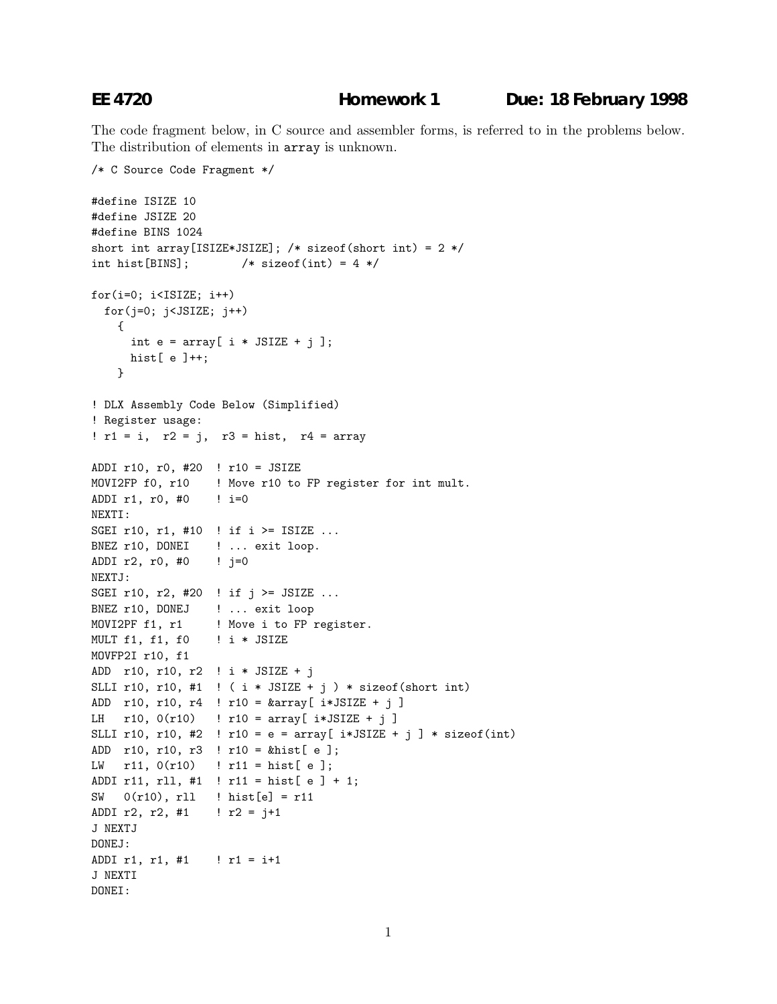The code fragment below, in C source and assembler forms, is referred to in the problems below. The distribution of elements in array is unknown.

```
/* C Source Code Fragment */
#define ISIZE 10
#define JSIZE 20
#define BINS 1024
short int array[ISIZE*JSIZE]; /* sizeof(short int) = 2 */
int hist[BINS]; /* sizeof(int) = 4 */for(i=0; i<ISIZE; i++)for(j=0; j<JSIZE; j++)
   {
     int e = \arctan[i * JSIZE + j];hist[ e ]++;}
! DLX Assembly Code Below (Simplified)
! Register usage:
! r1 = i, r2 = j, r3 = hist, r4 = arrayADDI r10, r0, #20 ! r10 = JSIZE
MOVI2FP f0, r10 ! Move r10 to FP register for int mult.
ADDI r1, r0, #0 ! i=0
NEXTI:
SGEI r10, r1, #10 ! if i >= ISIZE ...
BNEZ r10, DONEI ! ... exit loop.
ADDI r2, r0, \#0 ! j=0NEXTJ:
SGEI r10, r2, #20 ! if j >= JSIZE ...
BNEZ r10, DONEJ ! ... exit loop
MOVI2PF f1, r1 | Move i to FP register.
MULT f1, f1, f0 ! i * JSIZE
MOVFP2I r10, f1
ADD r10, r10, r2 ! i * JSIZE + j
SLLI r10, r10, #1 ! ( i * JSIZE + j ) * sizeof(short int)
ADD r10, r10, r4 ! r10 = &array[ i*JSIZE+j]
LH r10, 0(r10) ! r10 = array [ i*JSIZE + j ]
SLLI r10, r10, #2 ! r10 = e = array[ i*JSIZE + j ] * sizeof(int)
ADD r10, r10, r3 ! r10 = &hist[ e ];
LW r11, 0(r10) ! r11 = hist[ e];
ADDI r11, rll, #1 ! r11 = hist[ e ] + 1;
SW 0(r10), rll ! hist[e] = r11
ADDI r2, r2, \#1 ! r2 = j+1J NEXTJ
DONEJ:
ADDI r1, r1, #1 ! r1 = i+1
J NEXTI
DONEI:
```